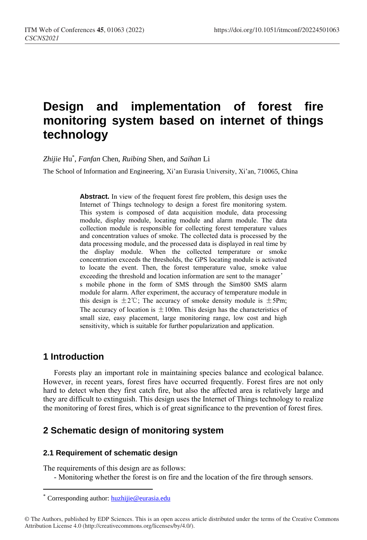# **Design and implementation of forest fire monitoring system based on internet of things technology**

*Zhijie* Hu\* , *Fanfan* Chen, *Ruibing* Shen, and *Saihan* Li

The School of Information and Engineering, Xi'an Eurasia University, Xi'an, 710065, China

**Abstract.** In view of the frequent forest fire problem, this design uses the Internet of Things technology to design a forest fire monitoring system. This system is composed of data acquisition module, data processing module, display module, locating module and alarm module. The data collection module is responsible for collecting forest temperature values and concentration values of smoke. The collected data is processed by the data processing module, and the processed data is displayed in real time by the display module. When the collected temperature or smoke concentration exceeds the thresholds, the GPS locating module is activated to locate the event. Then, the forest temperature value, smoke value exceeding the threshold and location information are sent to the manager' s mobile phone in the form of SMS through the Sim800 SMS alarm module for alarm. After experiment, the accuracy of temperature module in this design is  $\pm 2^{\circ}$ . The accuracy of smoke density module is  $\pm 5$ Pm; The accuracy of location is  $\pm 100$ m. This design has the characteristics of small size, easy placement, large monitoring range, low cost and high sensitivity, which is suitable for further popularization and application.

## **1 Introduction**

 $\overline{a}$ 

Forests play an important role in maintaining species balance and ecological balance. However, in recent years, forest fires have occurred frequently. Forest fires are not only hard to detect when they first catch fire, but also the affected area is relatively large and they are difficult to extinguish. This design uses the Internet of Things technology to realize the monitoring of forest fires, which is of great significance to the prevention of forest fires.

## **2 Schematic design of monitoring system**

### **2.1 Requirement of schematic design**

The requirements of this design are as follows:

- Monitoring whether the forest is on fire and the location of the fire through sensors.

Corresponding author: [huzhijie@eurasia.edu](mailto:huzhijie@eurasia.edu)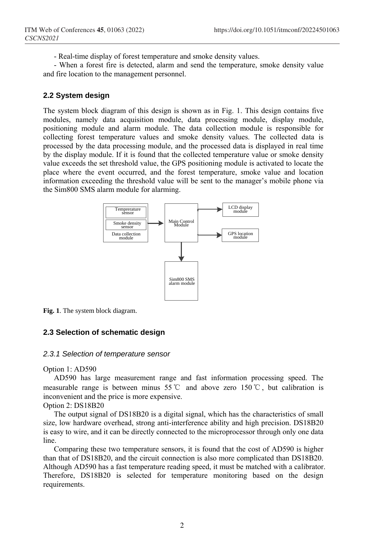- Real-time display of forest temperature and smoke density values.

- When a forest fire is detected, alarm and send the temperature, smoke density value and fire location to the management personnel.

### **2.2 System design**

The system block diagram of this design is shown as in Fig. 1. This design contains five modules, namely data acquisition module, data processing module, display module, positioning module and alarm module. The data collection module is responsible for collecting forest temperature values and smoke density values. The collected data is processed by the data processing module, and the processed data is displayed in real time by the display module. If it is found that the collected temperature value or smoke density value exceeds the set threshold value, the GPS positioning module is activated to locate the place where the event occurred, and the forest temperature, smoke value and location information exceeding the threshold value will be sent to the manager's mobile phone via the Sim800 SMS alarm module for alarming.



**Fig. 1**. The system block diagram.

### **2.3 Selection of schematic design**

### *2.3.1 Selection of temperature sensor*

Option 1: AD590

AD590 has large measurement range and fast information processing speed. The measurable range is between minus 55℃ and above zero 150℃, but calibration is inconvenient and the price is more expensive.

Option 2: DS18B20

The output signal of DS18B20 is a digital signal, which has the characteristics of small size, low hardware overhead, strong anti-interference ability and high precision. DS18B20 is easy to wire, and it can be directly connected to the microprocessor through only one data line.

Comparing these two temperature sensors, it is found that the cost of AD590 is higher than that of DS18B20, and the circuit connection is also more complicated than DS18B20. Although AD590 has a fast temperature reading speed, it must be matched with a calibrator. Therefore, DS18B20 is selected for temperature monitoring based on the design requirements.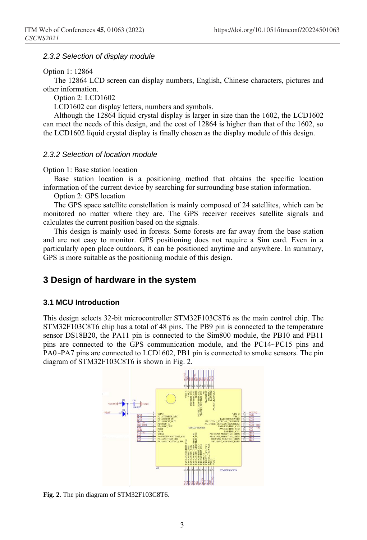### *2.3.2 Selection of display module*

#### Option 1: 12864

The 12864 LCD screen can display numbers, English, Chinese characters, pictures and other information.

Option 2: LCD1602

LCD1602 can display letters, numbers and symbols.

Although the 12864 liquid crystal display is larger in size than the 1602, the LCD1602 can meet the needs of this design, and the cost of 12864 is higher than that of the 1602, so the LCD1602 liquid crystal display is finally chosen as the display module of this design.

### *2.3.2 Selection of location module*

#### Option 1: Base station location

Base station location is a positioning method that obtains the specific location information of the current device by searching for surrounding base station information.

Option 2: GPS location

The GPS space satellite constellation is mainly composed of 24 satellites, which can be monitored no matter where they are. The GPS receiver receives satellite signals and calculates the current position based on the signals.

This design is mainly used in forests. Some forests are far away from the base station and are not easy to monitor. GPS positioning does not require a Sim card. Even in a particularly open place outdoors, it can be positioned anytime and anywhere. In summary, GPS is more suitable as the positioning module of this design.

### **3 Design of hardware in the system**

### **3.1 MCU Introduction**

This design selects 32-bit microcontroller STM32F103C8T6 as the main control chip. The STM32F103C8T6 chip has a total of 48 pins. The PB9 pin is connected to the temperature sensor DS18B20, the PA11 pin is connected to the Sim800 module, the PB10 and PB11 pins are connected to the GPS communication module, and the PC14~PC15 pins and PA0~PA7 pins are connected to LCD1602, PB1 pin is connected to smoke sensors. The pin diagram of STM32F103C8T6 is shown in Fig. 2.



**Fig. 2**. The pin diagram of STM32F103C8T6.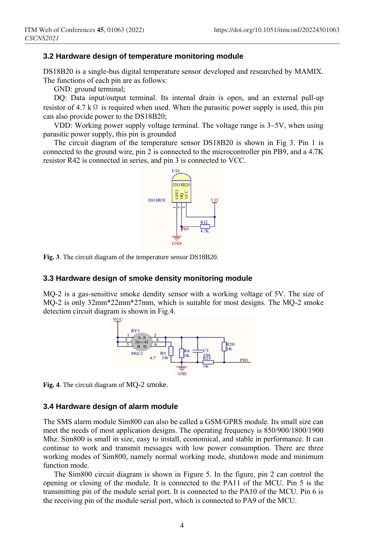### **3.2 Hardware design of temperature monitoring module**

DS18B20 is a single-bus digital temperature sensor developed and researched by MAMIX. The functions of each pin are as follows:

GND: ground terminal;

DQ: Data input/output terminal. Its internal drain is open, and an external pull-up resistor of 4.7 k Ω is required when used. When the parasitic power supply is used, this pin can also provide power to the DS18B20;

VDD: Working power supply voltage terminal. The voltage range is  $3\neg 5V$ , when using parasitic power supply, this pin is grounded

The circuit diagram of the temperature sensor DS18B20 is shown in Fig 3. Pin 1 is connected to the ground wire, pin 2 is connected to the microcontroller pin PB9, and a 4.7K resistor R42 is connected in series, and pin 3 is connected to VCC.



**Fig. 3**. The circuit diagram of the temperature sensor DS18B20.

### **3.3 Hardware design of smoke density monitoring module**

MQ-2 is a gas-sensitive smoke dendity sensor with a working voltage of 5V. The size of MQ-2 is only 32mm\*22mm\*27mm, which is suitable for most designs. The MQ-2 smoke detection circuit diagram is shown in Fig.4.



**Fig. 4**. The circuit diagram of MQ-2 smoke.

### **3.4 Hardware design of alarm module**

The SMS alarm module Sim800 can also be called a GSM/GPRS module. Its small size can meet the needs of most application designs. The operating frequency is 850/900/1800/1900 Mhz. Sim800 is small in size, easy to install, economical, and stable in performance. It can continue to work and transmit messages with low power consumption. There are three working modes of Sim800, namely normal working mode, shutdown mode and minimum function mode.

The Sim800 circuit diagram is shown in Figure 5. In the figure, pin 2 can control the opening or closing of the module. It is connected to the PA11 of the MCU. Pin 5 is the transmitting pin of the module serial port. It is connected to the PA10 of the MCU. Pin 6 is the receiving pin of the module serial port, which is connected to PA9 of the MCU.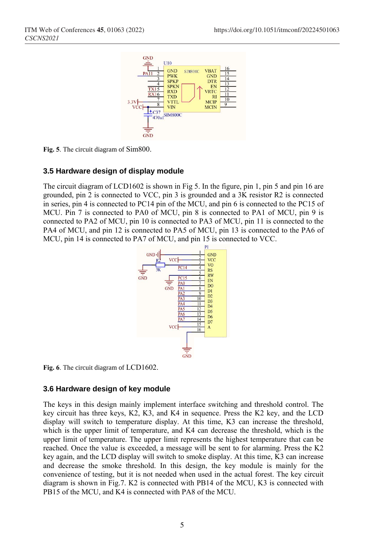

**Fig. 5**. The circuit diagram of Sim800.

### **3.5 Hardware design of display module**

The circuit diagram of LCD1602 is shown in Fig 5. In the figure, pin 1, pin 5 and pin 16 are grounded, pin 2 is connected to VCC, pin 3 is grounded and a 3K resistor R2 is connected in series, pin 4 is connected to PC14 pin of the MCU, and pin 6 is connected to the PC15 of MCU. Pin 7 is connected to PA0 of MCU, pin 8 is connected to PA1 of MCU, pin 9 is connected to PA2 of MCU, pin 10 is connected to PA3 of MCU, pin 11 is connected to the PA4 of MCU, and pin 12 is connected to PA5 of MCU, pin 13 is connected to the PA6 of MCU, pin 14 is connected to PA7 of MCU, and pin 15 is connected to VCC.



**Fig. 6**. The circuit diagram of LCD1602.

### **3.6 Hardware design of key module**

The keys in this design mainly implement interface switching and threshold control. The key circuit has three keys, K2, K3, and K4 in sequence. Press the K2 key, and the LCD display will switch to temperature display. At this time, K3 can increase the threshold, which is the upper limit of temperature, and K4 can decrease the threshold, which is the upper limit of temperature. The upper limit represents the highest temperature that can be reached. Once the value is exceeded, a message will be sent to for alarming. Press the K2 key again, and the LCD display will switch to smoke display. At this time, K3 can increase and decrease the smoke threshold. In this design, the key module is mainly for the convenience of testing, but it is not needed when used in the actual forest. The key circuit diagram is shown in Fig.7. K2 is connected with PB14 of the MCU, K3 is connected with PB15 of the MCU, and K4 is connected with PA8 of the MCU.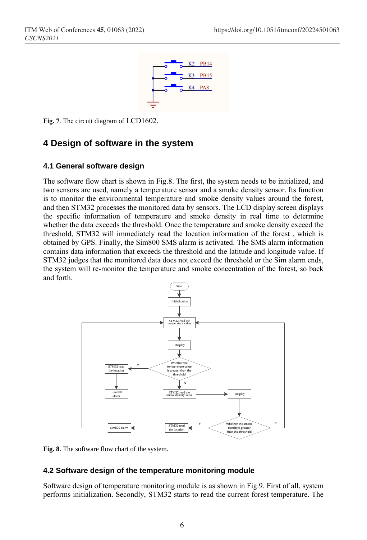

**Fig. 7**. The circuit diagram of LCD1602.

## **4 Design of software in the system**

### **4.1 General software design**

The software flow chart is shown in Fig.8. The first, the system needs to be initialized, and two sensors are used, namely a temperature sensor and a smoke density sensor. Its function is to monitor the environmental temperature and smoke density values around the forest, and then STM32 processes the monitored data by sensors. The LCD display screen displays the specific information of temperature and smoke density in real time to determine whether the data exceeds the threshold. Once the temperature and smoke density exceed the threshold, STM32 will immediately read the location information of the forest , which is obtained by GPS. Finally, the Sim800 SMS alarm is activated. The SMS alarm information contains data information that exceeds the threshold and the latitude and longitude value. If STM32 judges that the monitored data does not exceed the threshold or the Sim alarm ends, the system will re-monitor the temperature and smoke concentration of the forest, so back and forth.



**Fig. 8**. The software flow chart of the system.

### **4.2 Software design of the temperature monitoring module**

Software design of temperature monitoring module is as shown in Fig.9. First of all, system performs initialization. Secondly, STM32 starts to read the current forest temperature. The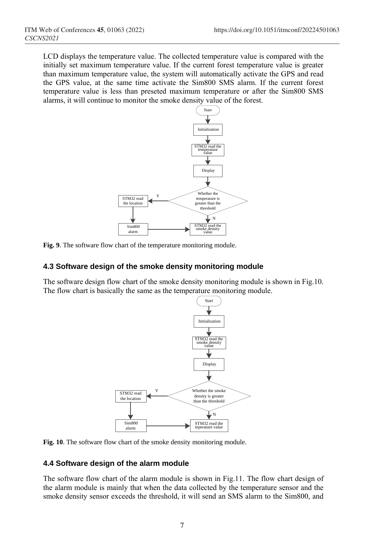LCD displays the temperature value. The collected temperature value is compared with the initially set maximum temperature value. If the current forest temperature value is greater than maximum temperature value, the system will automatically activate the GPS and read the GPS value, at the same time activate the Sim800 SMS alarm. If the current forest temperature value is less than preseted maximum temperature or after the Sim800 SMS alarms, it will continue to monitor the smoke density value of the forest.



**Fig. 9**. The software flow chart of the temperature monitoring module.

### **4.3 Software design of the smoke density monitoring module**

The software design flow chart of the smoke density monitoring module is shown in Fig.10. The flow chart is basically the same as the temperature monitoring module.



**Fig. 10**. The software flow chart of the smoke density monitoring module.

### **4.4 Software design of the alarm module**

The software flow chart of the alarm module is shown in Fig.11. The flow chart design of the alarm module is mainly that when the data collected by the temperature sensor and the smoke density sensor exceeds the threshold, it will send an SMS alarm to the Sim800, and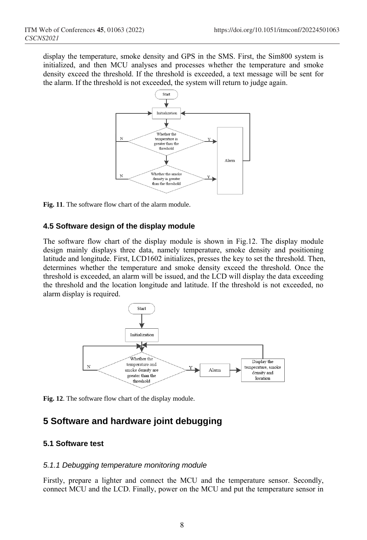display the temperature, smoke density and GPS in the SMS. First, the Sim800 system is initialized, and then MCU analyses and processes whether the temperature and smoke density exceed the threshold. If the threshold is exceeded, a text message will be sent for the alarm. If the threshold is not exceeded, the system will return to judge again.



**Fig. 11**. The software flow chart of the alarm module.

### **4.5 Software design of the display module**

The software flow chart of the display module is shown in Fig.12. The display module design mainly displays three data, namely temperature, smoke density and positioning latitude and longitude. First, LCD1602 initializes, presses the key to set the threshold. Then, determines whether the temperature and smoke density exceed the threshold. Once the threshold is exceeded, an alarm will be issued, and the LCD will display the data exceeding the threshold and the location longitude and latitude. If the threshold is not exceeded, no alarm display is required.



**Fig. 12**. The software flow chart of the display module.

## **5 Software and hardware joint debugging**

### **5.1 Software test**

### *5.1.1 Debugging temperature monitoring module*

Firstly, prepare a lighter and connect the MCU and the temperature sensor. Secondly, connect MCU and the LCD. Finally, power on the MCU and put the temperature sensor in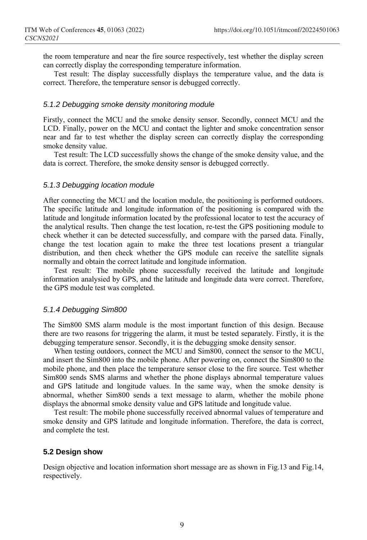the room temperature and near the fire source respectively, test whether the display screen can correctly display the corresponding temperature information.

Test result: The display successfully displays the temperature value, and the data is correct. Therefore, the temperature sensor is debugged correctly.

### *5.1.2 Debugging smoke density monitoring module*

Firstly, connect the MCU and the smoke density sensor. Secondly, connect MCU and the LCD. Finally, power on the MCU and contact the lighter and smoke concentration sensor near and far to test whether the display screen can correctly display the corresponding smoke density value.

Test result: The LCD successfully shows the change of the smoke density value, and the data is correct. Therefore, the smoke density sensor is debugged correctly.

### *5.1.3 Debugging location module*

After connecting the MCU and the location module, the positioning is performed outdoors. The specific latitude and longitude information of the positioning is compared with the latitude and longitude information located by the professional locator to test the accuracy of the analytical results. Then change the test location, re-test the GPS positioning module to check whether it can be detected successfully, and compare with the parsed data. Finally, change the test location again to make the three test locations present a triangular distribution, and then check whether the GPS module can receive the satellite signals normally and obtain the correct latitude and longitude information.

Test result: The mobile phone successfully received the latitude and longitude information analysied by GPS, and the latitude and longitude data were correct. Therefore, the GPS module test was completed.

### *5.1.4 Debugging Sim800*

The Sim800 SMS alarm module is the most important function of this design. Because there are two reasons for triggering the alarm, it must be tested separately. Firstly, it is the debugging temperature sensor. Secondly, it is the debugging smoke density sensor.

When testing outdoors, connect the MCU and Sim800, connect the sensor to the MCU, and insert the Sim800 into the mobile phone. After powering on, connect the Sim800 to the mobile phone, and then place the temperature sensor close to the fire source. Test whether Sim800 sends SMS alarms and whether the phone displays abnormal temperature values and GPS latitude and longitude values. In the same way, when the smoke density is abnormal, whether Sim800 sends a text message to alarm, whether the mobile phone displays the abnormal smoke density value and GPS latitude and longitude value.

Test result: The mobile phone successfully received abnormal values of temperature and smoke density and GPS latitude and longitude information. Therefore, the data is correct, and complete the test.

### **5.2 Design show**

Design objective and location information short message are as shown in Fig.13 and Fig.14, respectively.